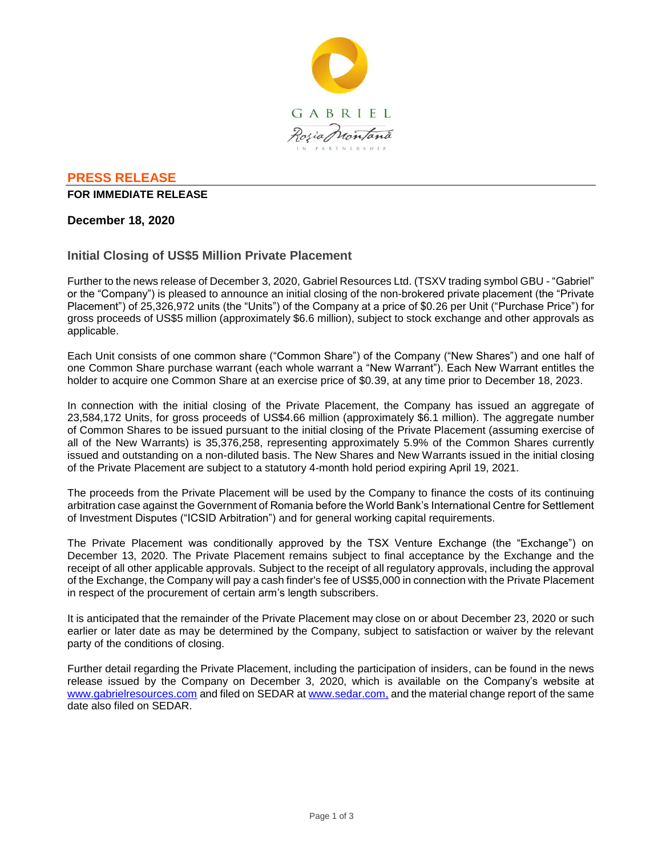

## **PRESS RELEASE**

#### **FOR IMMEDIATE RELEASE**

## **December 18, 2020**

# **Initial Closing of US\$5 Million Private Placement**

Further to the news release of December 3, 2020, Gabriel Resources Ltd. (TSXV trading symbol GBU - "Gabriel" or the "Company") is pleased to announce an initial closing of the non-brokered private placement (the "Private Placement") of 25,326,972 units (the "Units") of the Company at a price of \$0.26 per Unit ("Purchase Price") for gross proceeds of US\$5 million (approximately \$6.6 million), subject to stock exchange and other approvals as applicable.

Each Unit consists of one common share ("Common Share") of the Company ("New Shares") and one half of one Common Share purchase warrant (each whole warrant a "New Warrant"). Each New Warrant entitles the holder to acquire one Common Share at an exercise price of \$0.39, at any time prior to December 18, 2023.

In connection with the initial closing of the Private Placement, the Company has issued an aggregate of 23,584,172 Units, for gross proceeds of US\$4.66 million (approximately \$6.1 million). The aggregate number of Common Shares to be issued pursuant to the initial closing of the Private Placement (assuming exercise of all of the New Warrants) is 35,376,258, representing approximately 5.9% of the Common Shares currently issued and outstanding on a non-diluted basis. The New Shares and New Warrants issued in the initial closing of the Private Placement are subject to a statutory 4-month hold period expiring April 19, 2021.

The proceeds from the Private Placement will be used by the Company to finance the costs of its continuing arbitration case against the Government of Romania before the World Bank's International Centre for Settlement of Investment Disputes ("ICSID Arbitration") and for general working capital requirements.

The Private Placement was conditionally approved by the TSX Venture Exchange (the "Exchange") on December 13, 2020. The Private Placement remains subject to final acceptance by the Exchange and the receipt of all other applicable approvals. Subject to the receipt of all regulatory approvals, including the approval of the Exchange, the Company will pay a cash finder's fee of US\$5,000 in connection with the Private Placement in respect of the procurement of certain arm's length subscribers.

It is anticipated that the remainder of the Private Placement may close on or about December 23, 2020 or such earlier or later date as may be determined by the Company, subject to satisfaction or waiver by the relevant party of the conditions of closing.

Further detail regarding the Private Placement, including the participation of insiders, can be found in the news release issued by the Company on December 3, 2020, which is available on the Company's website at www.gabrielresources.com and filed on SEDAR at www.sedar.com, and the material change report of the same date also filed on SEDAR.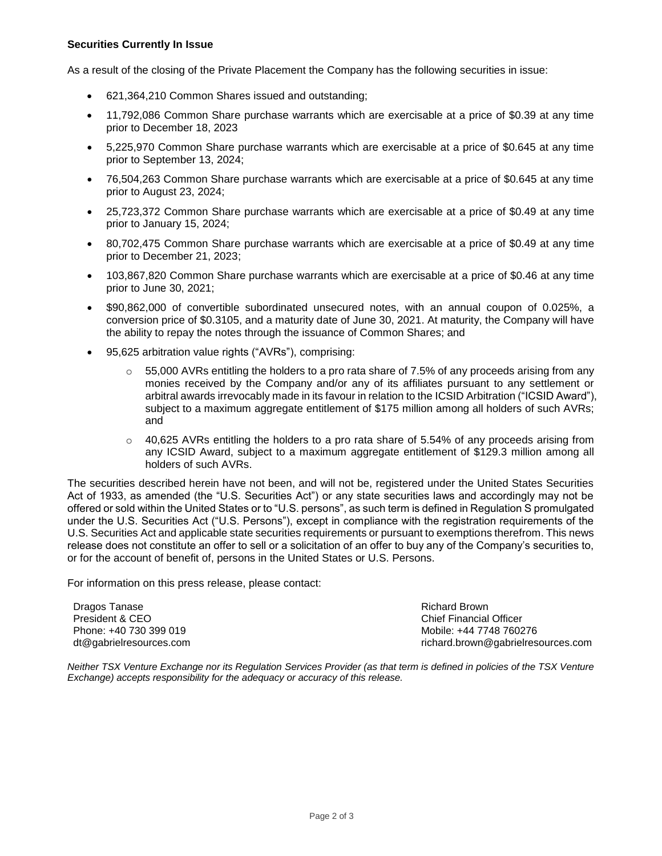#### **Securities Currently In Issue**

As a result of the closing of the Private Placement the Company has the following securities in issue:

- 621,364,210 Common Shares issued and outstanding;
- 11,792,086 Common Share purchase warrants which are exercisable at a price of \$0.39 at any time prior to December 18, 2023
- 5,225,970 Common Share purchase warrants which are exercisable at a price of \$0.645 at any time prior to September 13, 2024;
- 76,504,263 Common Share purchase warrants which are exercisable at a price of \$0.645 at any time prior to August 23, 2024;
- 25,723,372 Common Share purchase warrants which are exercisable at a price of \$0.49 at any time prior to January 15, 2024;
- 80,702,475 Common Share purchase warrants which are exercisable at a price of \$0.49 at any time prior to December 21, 2023;
- 103,867,820 Common Share purchase warrants which are exercisable at a price of \$0.46 at any time prior to June 30, 2021;
- \$90,862,000 of convertible subordinated unsecured notes, with an annual coupon of 0.025%, a conversion price of \$0.3105, and a maturity date of June 30, 2021. At maturity, the Company will have the ability to repay the notes through the issuance of Common Shares; and
- 95,625 arbitration value rights ("AVRs"), comprising:
	- $\circ$  55,000 AVRs entitling the holders to a pro rata share of 7.5% of any proceeds arising from any monies received by the Company and/or any of its affiliates pursuant to any settlement or arbitral awards irrevocably made in its favour in relation to the ICSID Arbitration ("ICSID Award"), subject to a maximum aggregate entitlement of \$175 million among all holders of such AVRs; and
	- $\circ$  40,625 AVRs entitling the holders to a pro rata share of 5.54% of any proceeds arising from any ICSID Award, subject to a maximum aggregate entitlement of \$129.3 million among all holders of such AVRs.

The securities described herein have not been, and will not be, registered under the United States Securities Act of 1933, as amended (the "U.S. Securities Act") or any state securities laws and accordingly may not be offered or sold within the United States or to "U.S. persons", as such term is defined in Regulation S promulgated under the U.S. Securities Act ("U.S. Persons"), except in compliance with the registration requirements of the U.S. Securities Act and applicable state securities requirements or pursuant to exemptions therefrom. This news release does not constitute an offer to sell or a solicitation of an offer to buy any of the Company's securities to, or for the account of benefit of, persons in the United States or U.S. Persons.

For information on this press release, please contact:

Dragos Tanase President & CEO Phone: +40 730 399 019 dt@gabrielresources.com Richard Brown Chief Financial Officer Mobile: +44 7748 760276 richard.brown@gabrielresources.com

*Neither TSX Venture Exchange nor its Regulation Services Provider (as that term is defined in policies of the TSX Venture Exchange) accepts responsibility for the adequacy or accuracy of this release.*